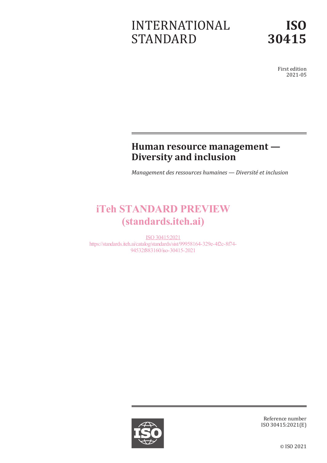# INTERNATIONAL STANDARD

First edition 2021-05

# **Human resource management — Diversity and inclusion**

*Management des ressources humaines — Diversité et inclusion*

# iTeh STANDARD PREVIEW (standards.iteh.ai)

ISO 30415:2021 https://standards.iteh.ai/catalog/standards/sist/99958164-329e-4f2c-8f74- 94532f883160/iso-30415-2021



Reference number ISO 30415:2021(E)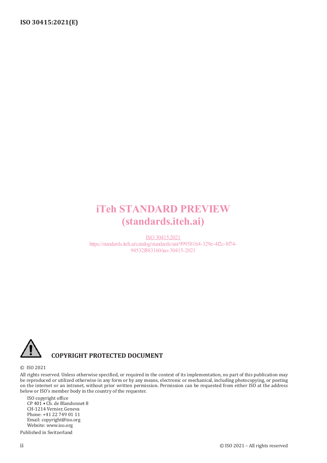# iTeh STANDARD PREVIEW (standards.iteh.ai)

ISO 30415:2021 https://standards.iteh.ai/catalog/standards/sist/99958164-329e-4f2c-8f74- 94532f883160/iso-30415-2021



# **COPYRIGHT PROTECTED DOCUMENT**

#### © ISO 2021

All rights reserved. Unless otherwise specified, or required in the context of its implementation, no part of this publication may be reproduced or utilized otherwise in any form or by any means, electronic or mechanical, including photocopying, or posting on the internet or an intranet, without prior written permission. Permission can be requested from either ISO at the address below or ISO's member body in the country of the requester.

ISO copyright office CP 401 • Ch. de Blandonnet 8 CH-1214 Vernier, Geneva Phone: +41 22 749 01 11 Email: copyright@iso.org Website: www.iso.org Published in Switzerland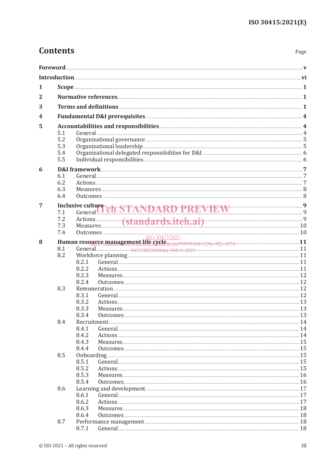# **Contents**

| 2 |            |                                                                                                                |       |  |  |
|---|------------|----------------------------------------------------------------------------------------------------------------|-------|--|--|
| 3 |            |                                                                                                                |       |  |  |
| 4 |            |                                                                                                                |       |  |  |
| 5 |            |                                                                                                                |       |  |  |
|   | 5.1        |                                                                                                                |       |  |  |
|   | 5.2        |                                                                                                                |       |  |  |
|   | 5.3        |                                                                                                                |       |  |  |
|   | 5.4<br>5.5 |                                                                                                                |       |  |  |
|   |            |                                                                                                                |       |  |  |
| 6 | 6.1        |                                                                                                                |       |  |  |
|   | 6.2        |                                                                                                                |       |  |  |
|   | 6.3        |                                                                                                                |       |  |  |
|   | 6.4        |                                                                                                                |       |  |  |
| 7 |            |                                                                                                                |       |  |  |
|   |            | The United States of STANDARD PREVIEW 97.1 General Teh STANDARD PREVIEW 9                                      |       |  |  |
|   | 7.2        |                                                                                                                |       |  |  |
|   | 7.3        | Actions (standards.itch.ai) <sup>9</sup><br>Measures 10                                                        |       |  |  |
|   | 7.4        | Outcomes 2010 and 2010 and 2010 and 2010 and 2010 and 2010 and 2010 and 2010 and 2010 and 2010 and 2010 and 20 |       |  |  |
| 8 |            | 11<br>Human resource management life cycleds/sist/99958164-329e-42c-8f74-                                      |       |  |  |
|   | 8.1        |                                                                                                                |       |  |  |
|   | 8.2        |                                                                                                                |       |  |  |
|   |            | 8.2.1                                                                                                          |       |  |  |
|   |            | 8.2.2                                                                                                          |       |  |  |
|   |            | 8.2.3                                                                                                          |       |  |  |
|   |            | 8.2.4                                                                                                          |       |  |  |
|   | 8.3        |                                                                                                                |       |  |  |
|   |            | 8.3.1<br>8.3.2                                                                                                 |       |  |  |
|   |            | 8.3.3<br>Measures.                                                                                             | $-13$ |  |  |
|   |            | 8.3.4                                                                                                          |       |  |  |
|   | 8.4        |                                                                                                                |       |  |  |
|   |            | 8.4.1                                                                                                          |       |  |  |
|   |            | 8.4.2                                                                                                          |       |  |  |
|   |            | 8.4.3                                                                                                          |       |  |  |
|   |            | 8.4.4                                                                                                          |       |  |  |
|   | 8.5        |                                                                                                                |       |  |  |
|   |            | 8.5.1<br>8.5.2                                                                                                 |       |  |  |
|   |            | 8.5.3                                                                                                          |       |  |  |
|   |            | 8.5.4                                                                                                          |       |  |  |
|   | 8.6        |                                                                                                                |       |  |  |
|   |            | 8.6.1                                                                                                          |       |  |  |
|   |            | 8.6.2                                                                                                          |       |  |  |
|   |            | 8.6.3                                                                                                          |       |  |  |
|   |            | 8.6.4                                                                                                          |       |  |  |
|   | 8.7        |                                                                                                                |       |  |  |
|   |            |                                                                                                                |       |  |  |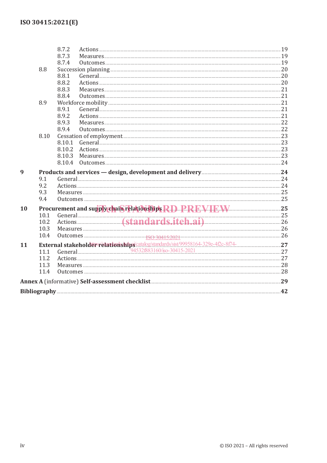|                                                 |      | 8.7.2                                                                              |  |  |  |  |
|-------------------------------------------------|------|------------------------------------------------------------------------------------|--|--|--|--|
|                                                 |      | 8.7.3                                                                              |  |  |  |  |
|                                                 |      | 8.7.4                                                                              |  |  |  |  |
|                                                 | 8.8  |                                                                                    |  |  |  |  |
|                                                 |      | 8.8.1                                                                              |  |  |  |  |
|                                                 |      | 8.8.2                                                                              |  |  |  |  |
|                                                 |      | 8.8.3                                                                              |  |  |  |  |
|                                                 |      | 8.8.4                                                                              |  |  |  |  |
|                                                 | 8.9  |                                                                                    |  |  |  |  |
|                                                 |      | 8.9.1                                                                              |  |  |  |  |
|                                                 |      | 8.9.2                                                                              |  |  |  |  |
|                                                 |      | 8.9.3                                                                              |  |  |  |  |
|                                                 |      | 8.9.4                                                                              |  |  |  |  |
|                                                 | 8.10 |                                                                                    |  |  |  |  |
|                                                 |      | General 23 23<br>8.10.1<br>8.10.2<br>Actions 23                                    |  |  |  |  |
|                                                 |      | 8.10.3                                                                             |  |  |  |  |
|                                                 |      | 8.10.4                                                                             |  |  |  |  |
|                                                 |      |                                                                                    |  |  |  |  |
| 9                                               |      |                                                                                    |  |  |  |  |
|                                                 | 9.1  |                                                                                    |  |  |  |  |
|                                                 | 9.2  |                                                                                    |  |  |  |  |
|                                                 | 9.3  |                                                                                    |  |  |  |  |
|                                                 | 9.4  |                                                                                    |  |  |  |  |
| <b>10</b>                                       |      | Procurement and supplychain relationships R.D. PREVIEW EXAMIC ME                   |  |  |  |  |
|                                                 | 10.1 | General 25<br>Actions (standards.iteh.ai) 25                                       |  |  |  |  |
|                                                 | 10.2 |                                                                                    |  |  |  |  |
|                                                 | 10.3 |                                                                                    |  |  |  |  |
|                                                 | 10.4 |                                                                                    |  |  |  |  |
| 11                                              |      | External stakeholder relationships catalog/standards/sist/99958164-329e-4f2c-8f74- |  |  |  |  |
|                                                 | 11.1 |                                                                                    |  |  |  |  |
|                                                 | 11.2 |                                                                                    |  |  |  |  |
|                                                 | 11.3 |                                                                                    |  |  |  |  |
|                                                 | 11.4 | Outcomes 28                                                                        |  |  |  |  |
| Annex A (informative) Self-assessment checklist |      |                                                                                    |  |  |  |  |
|                                                 |      |                                                                                    |  |  |  |  |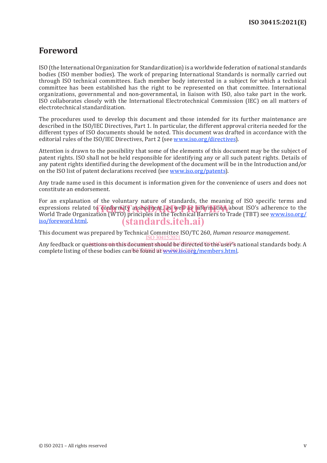# **Foreword**

ISO (the International Organization for Standardization) is a worldwide federation of national standards bodies (ISO member bodies). The work of preparing International Standards is normally carried out through ISO technical committees. Each member body interested in a subject for which a technical committee has been established has the right to be represented on that committee. International organizations, governmental and non-governmental, in liaison with ISO, also take part in the work. ISO collaborates closely with the International Electrotechnical Commission (IEC) on all matters of electrotechnical standardization.

The procedures used to develop this document and those intended for its further maintenance are described in the ISO/IEC Directives, Part 1. In particular, the different approval criteria needed for the different types of ISO documents should be noted. This document was drafted in accordance with the editorial rules of the ISO/IEC Directives, Part 2 (see www.iso.org/directives).

Attention is drawn to the possibility that some of the elements of this document may be the subject of patent rights. ISO shall not be held responsible for identifying any or all such patent rights. Details of any patent rights identified during the development of the document will be in the Introduction and/or on the ISO list of patent declarations received (see www.iso.org/patents).

Any trade name used in this document is information given for the convenience of users and does not constitute an endorsement.

For an explanation of the voluntary nature of standards, the meaning of ISO specific terms and expressions related to conformity assessment, as well as information about ISO's adherence to the www.iso.org/<br>World Trade Organization (WTO) principles in the Technical Barriers to Trade (TBT) see www.iso.org/ World Trade Organization (WTO) principles in the Technical Barriers to Trade (TBT) see www.iso.org/ iso/foreword.html. (standards.iteh.ai)

This document was prepared by Technical Committee ISO/TC 260, *Human resource management*. ISO 30415:2021

Any feedback or questions on this document should be directed to the user's national standards body. A complete listing of these bodies can be found at www.iso.org/members.html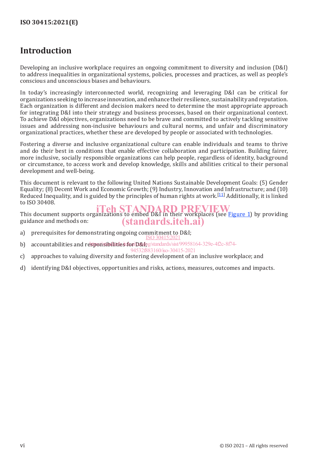# **Introduction**

Developing an inclusive workplace requires an ongoing commitment to diversity and inclusion (D&I) to address inequalities in organizational systems, policies, processes and practices, as well as people's conscious and unconscious biases and behaviours.

In today's increasingly interconnected world, recognizing and leveraging D&I can be critical for organizations seeking to increase innovation, and enhance their resilience, sustainability and reputation. Each organization is different and decision makers need to determine the most appropriate approach for integrating D&I into their strategy and business processes, based on their organizational context. To achieve D&I objectives, organizations need to be brave and committed to actively tackling sensitive issues and addressing non-inclusive behaviours and cultural norms, and unfair and discriminatory organizational practices, whether these are developed by people or associated with technologies.

Fostering a diverse and inclusive organizational culture can enable individuals and teams to thrive and do their best in conditions that enable effective collaboration and participation. Building fairer, more inclusive, socially responsible organizations can help people, regardless of identity, background or circumstance, to access work and develop knowledge, skills and abilities critical to their personal development and well-being.

This document is relevant to the following United Nations Sustainable Development Goals: (5) Gender Equality; (8) Decent Work and Economic Growth; (9) Industry, Innovation and Infrastructure; and (10) Reduced Inequality, and is guided by the principles of human rights at work.[<mark>11</mark>] Additionally, it is linked to ISO 30408.

to 150 50 100.<br>This document supports organizations to embed D&I in their workplaces (see Figure 1) by providing guidance and methods on: (standards.iteh.ai)

- a) prerequisites for demonstrating ongoing commitment to D&I; ISO 30415:2021
- b) accountabilities and responsibilities for D&I<sub>9</sub> g/standards/sist/99958164-329e-4f2c-8f74-

94532f883160/iso-30415-2021

- c) approaches to valuing diversity and fostering development of an inclusive workplace; and
- d) identifying D&I objectives, opportunities and risks, actions, measures, outcomes and impacts.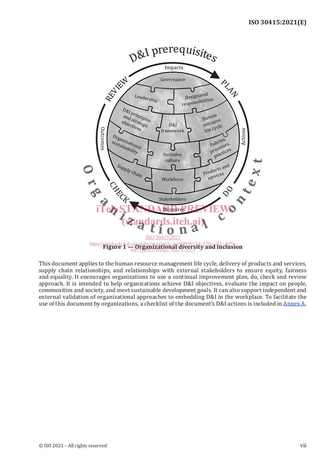

This document applies to the human resource management life cycle, delivery of products and services, supply chain relationships, and relationships with external stakeholders to ensure equity, fairness and equality. It encourages organizations to use a continual improvement plan, do, check and review approach. It is intended to help organizations achieve D&I objectives, evaluate the impact on people, communities and society, and meet sustainable development goals. It can also support independent and external validation of organizational approaches to embedding D&I in the workplace. To facilitate the use of this document by organizations, a checklist of the document's D&I actions is included in Annex A.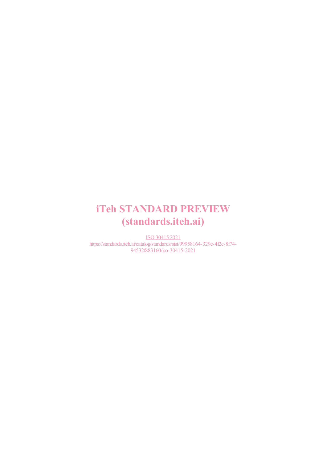# iTeh STANDARD PREVIEW (standards.iteh.ai)

ISO 30415:2021 https://standards.iteh.ai/catalog/standards/sist/99958164-329e-4f2c-8f74- 94532f883160/iso-30415-2021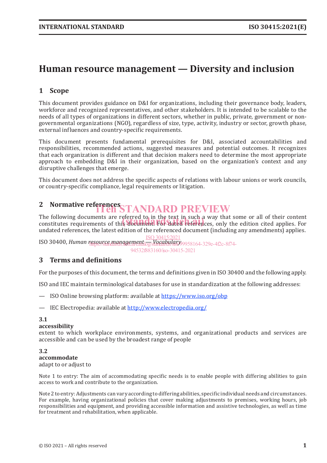# **Human resource management — Diversity and inclusion**

# **1 Scope**

This document provides guidance on D&I for organizations, including their governance body, leaders, workforce and recognized representatives, and other stakeholders. It is intended to be scalable to the needs of all types of organizations in different sectors, whether in public, private, government or nongovernmental organizations (NGO), regardless of size, type, activity, industry or sector, growth phase, external influences and country-specific requirements.

This document presents fundamental prerequisites for D&I, associated accountabilities and responsibilities, recommended actions, suggested measures and potential outcomes. It recognizes that each organization is different and that decision makers need to determine the most appropriate approach to embedding D&I in their organization, based on the organization's context and any disruptive challenges that emerge.

This document does not address the specific aspects of relations with labour unions or work councils, or country-specific compliance, legal requirements or litigation.

# 2 Normative references **STANDARD PREVIEW**

The following documents are referred to in the text in such a way that some or all of their content The following documents are referred to in the text in such a way that some or all of their content<br>constitutes requirements of this document. For dated references, only the edition cited applies. For undated references, the latest edition of the referenced document (including any amendments) applies. ISO 30415:2021

ISO 30400, *Human resource management* and *Vocabulary* 99958164-329e-4f2c-8f74-

94532f883160/iso-30415-2021

# **3 Terms and definitions**

For the purposes of this document, the terms and definitions given in ISO 30400 and the following apply.

ISO and IEC maintain terminological databases for use in standardization at the following addresses:

- ISO Online browsing platform: available at https://www.iso.org/obp
- IEC Electropedia: available at http://www.electropedia.org/

#### **3.1**

#### **accessibility**

extent to which workplace environments, systems, and organizational products and services are accessible and can be used by the broadest range of people

## **3.2 accommodate**

adapt to or adjust to

Note 1 to entry: The aim of accommodating specific needs is to enable people with differing abilities to gain access to work and contribute to the organization.

Note 2 to entry:Adjustments can vary according to differing abilities, specific individual needs and circumstances. For example, having organizational policies that cover making adjustments to premises, working hours, job responsibilities and equipment, and providing accessible information and assistive technologies, as well as time for treatment and rehabilitation, when applicable.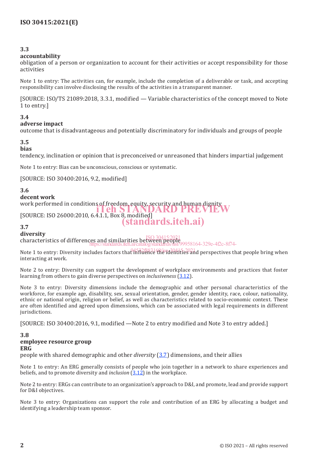## **3.3**

#### **accountability**

obligation of a person or organization to account for their activities or accept responsibility for those activities

Note 1 to entry: The activities can, for example, include the completion of a deliverable or task, and accepting responsibility can involve disclosing the results of the activities in a transparent manner.

[SOURCE: ISO/TS 21089:2018, 3.3.1, modified — Variable characteristics of the concept moved to Note 1 to entry.]

#### **3.4**

#### **adverse impact**

outcome that is disadvantageous and potentially discriminatory for individuals and groups of people

#### **3.5**

#### **bias**

tendency, inclination or opinion that is preconceived or unreasoned that hinders impartial judgement

Note 1 to entry: Bias can be unconscious, conscious or systematic.

[SOURCE: ISO 30400:2016, 9.2, modified]

#### **3.6**

#### **decent work**

work performed in conditions of freedom, equity, security and human dignity<br>iSOUDCE: ISO 26000:2010.64444 Roy & modified! [SOURCE: ISO 26000:2010, 6.4.1.1, Box 8, modified] (standards.iteh.ai)

#### **3.7**

#### **diversity**

characteristics of differences and similarities between people ISO 30415:2021 https://standards.iteh.ai/catalog/standards/sist/99958164-329e-4f2c-8f74-

Note 1 to entry: Diversity includes factors that influence the identities and perspectives that people bring when interacting at work.

Note 2 to entry: Diversity can support the development of workplace environments and practices that foster learning from others to gain diverse perspectives on *inclusiveness* (3.12).

Note 3 to entry: Diversity dimensions include the demographic and other personal characteristics of the workforce, for example age, disability, sex, sexual orientation, gender, gender identity, race, colour, nationality, ethnic or national origin, religion or belief, as well as characteristics related to socio-economic context. These are often identified and agreed upon dimensions, which can be associated with legal requirements in different jurisdictions.

[SOURCE: ISO 30400:2016, 9.1, modified —Note 2 to entry modified and Note 3 to entry added.]

#### **3.8 employee resource group**

## **ERG**

people with shared demographic and other *diversity* (3.7) dimensions, and their allies

Note 1 to entry: An ERG generally consists of people who join together in a network to share experiences and beliefs, and to promote diversity and *inclusion* (3.12) in the workplace.

Note 2 to entry: ERGs can contribute to an organization's approach to D&I, and promote, lead and provide support for D&I objectives.

Note 3 to entry: Organizations can support the role and contribution of an ERG by allocating a budget and identifying a leadership team sponsor.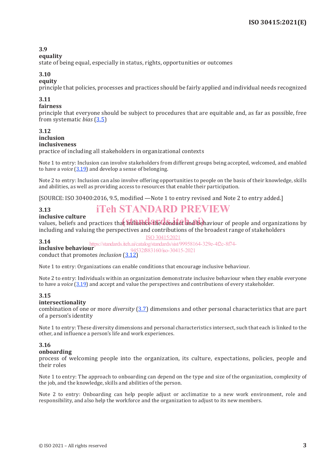## **3.9**

**equality**

state of being equal, especially in status, rights, opportunities or outcomes

### **3.10**

#### **equity**

principle that policies, processes and practices should be fairly applied and individual needs recognized

# **3.11**

#### **fairness**

principle that everyone should be subject to procedures that are equitable and, as far as possible, free from systematic *bias* (3.5)

#### **3.12 inclusion inclusiveness**

practice of including all stakeholders in organizational contexts

Note 1 to entry: Inclusion can involve stakeholders from different groups being accepted, welcomed, and enabled to have a *voice* (3.19) and develop a sense of belonging.

Note 2 to entry: Inclusion can also involve offering opportunities to people on the basis of their knowledge, skills and abilities, as well as providing access to resources that enable their participation.

[SOURCE: ISO 30400:2016, 9.5, modified —Note 1 to entry revised and Note 2 to entry added.]

# iTeh STANDARD PREVIEW

#### **3.13 inclusive culture**

**inclusive culture**<br>values, beliefs and practices that **influence the conduct and be**haviour of people and organizations by including and valuing the perspectives and contributions of the broadest range of stakeholders

ISO 30415:2021

**3.14 inclusive behaviour** conduct that promotes *inclusion* (3.12) https://standards.iteh.ai/catalog/standards/sist/99958164-329e-4f2c-8f74- 94532f883160/iso-30415-2021

Note 1 to entry: Organizations can enable conditions that encourage inclusive behaviour.

Note 2 to entry: Individuals within an organization demonstrate inclusive behaviour when they enable everyone to have a *voice* (3.19) and accept and value the perspectives and contributions of every stakeholder.

# **3.15**

#### **intersectionality**

combination of one or more *diversity* (3.7) dimensions and other personal characteristics that are part of a person's identity

Note 1 to entry: These diversity dimensions and personal characteristics intersect, such that each is linked to the other, and influence a person's life and work experiences.

# **3.16**

#### **onboarding**

process of welcoming people into the organization, its culture, expectations, policies, people and their roles

Note 1 to entry: The approach to onboarding can depend on the type and size of the organization, complexity of the job, and the knowledge, skills and abilities of the person.

Note 2 to entry: Onboarding can help people adjust or acclimatize to a new work environment, role and responsibility, and also help the workforce and the organization to adjust to its new members.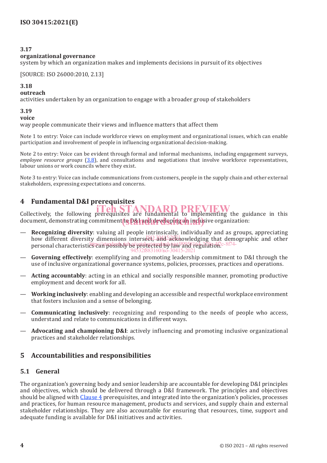#### **3.17**

#### **organizational governance**

system by which an organization makes and implements decisions in pursuit of its objectives

[SOURCE: ISO 26000:2010, 2.13]

## **3.18**

#### **outreach**

activities undertaken by an organization to engage with a broader group of stakeholders

#### **3.19**

#### **voice**

way people communicate their views and influence matters that affect them

Note 1 to entry: Voice can include workforce views on employment and organizational issues, which can enable participation and involvement of people in influencing organizational decision-making.

Note 2 to entry: Voice can be evident through formal and informal mechanisms, including engagement surveys, *employee resource groups* (3.8), and consultations and negotiations that involve workforce representatives, labour unions or work councils where they exist.

Note 3 to entry: Voice can include communications from customers, people in the supply chain and other external stakeholders, expressing expectations and concerns.

# **4 Fundamental D&I prerequisites**

collectively, the following prerequisites are fundamental to implementing the guidance in this document, demonstrating commitment to D&I and developing an inclusive organization:

- **Recognizing diversity**: valuing all people intrinsically, individually and as groups, appreciating how different diversity dimensions intersect, and a sekhowledging that demographic and other personal characteristics can possibly be protected by law and regulation. 94532f883160/iso-30415-2021
- **Governing effectively**: exemplifying and promoting leadership commitment to D&I through the use of inclusive organizational governance systems, policies, processes, practices and operations.
- **Acting accountably**: acting in an ethical and socially responsible manner, promoting productive employment and decent work for all.
- **Working inclusively**: enabling and developing an accessible and respectful workplace environment that fosters inclusion and a sense of belonging.
- **Communicating inclusively**: recognizing and responding to the needs of people who access, understand and relate to communications in different ways.
- **Advocating and championing D&I**: actively influencing and promoting inclusive organizational practices and stakeholder relationships.

# **5 Accountabilities and responsibilities**

## **5.1 General**

The organization's governing body and senior leadership are accountable for developing D&I principles and objectives, which should be delivered through a D&I framework. The principles and objectives should be aligned with Clause 4 prerequisites, and integrated into the organization's policies, processes and practices, for human resource management, products and services, and supply chain and external stakeholder relationships. They are also accountable for ensuring that resources, time, support and adequate funding is available for D&I initiatives and activities.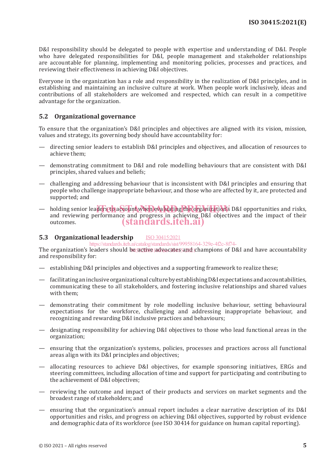D&I responsibility should be delegated to people with expertise and understanding of D&I. People who have delegated responsibilities for D&I, people management and stakeholder relationships are accountable for planning, implementing and monitoring policies, processes and practices, and reviewing their effectiveness in achieving D&I objectives.

Everyone in the organization has a role and responsibility in the realization of D&I principles, and in establishing and maintaining an inclusive culture at work. When people work inclusively, ideas and contributions of all stakeholders are welcomed and respected, which can result in a competitive advantage for the organization.

## **5.2 Organizational governance**

To ensure that the organization's D&I principles and objectives are aligned with its vision, mission, values and strategy, its governing body should have accountability for:

- directing senior leaders to establish D&I principles and objectives, and allocation of resources to achieve them;
- demonstrating commitment to D&I and role modelling behaviours that are consistent with D&I principles, shared values and beliefs;
- challenging and addressing behaviour that is inconsistent with D&I principles and ensuring that people who challenge inappropriate behaviour, and those who are affected by it, are protected and supported; and
- holding senior leaders to account when evaluating the organization's D&I opportunities and risks, and reviewing performance and progress in achieving D&I objectives and the impact of their outcomes. (standards.iteh.ai)

#### **5.3 Organizational leadership** ISO 30415:2021

https://standards.iteh.ai/catalog/standards/sist/99958164-329e-4f2c-8f74-

The organization's leaders should be active advocates and champions of D&I and have accountability and responsibility for:

- establishing D&I principles and objectives and a supporting framework to realize these;
- facilitating an inclusive organizational culture by establishing D&I expectations and accountabilities, communicating these to all stakeholders, and fostering inclusive relationships and shared values with them;
- demonstrating their commitment by role modelling inclusive behaviour, setting behavioural expectations for the workforce, challenging and addressing inappropriate behaviour, and recognizing and rewarding D&I inclusive practices and behaviours;
- designating responsibility for achieving D&I objectives to those who lead functional areas in the organization;
- ensuring that the organization's systems, policies, processes and practices across all functional areas align with its D&I principles and objectives;
- allocating resources to achieve D&I objectives, for example sponsoring initiatives, ERGs and steering committees, including allocation of time and support for participating and contributing to the achievement of D&I objectives;
- reviewing the outcome and impact of their products and services on market segments and the broadest range of stakeholders; and
- ensuring that the organization's annual report includes a clear narrative description of its D&I opportunities and risks, and progress on achieving D&I objectives, supported by robust evidence and demographic data of its workforce (see ISO 30414 for guidance on human capital reporting).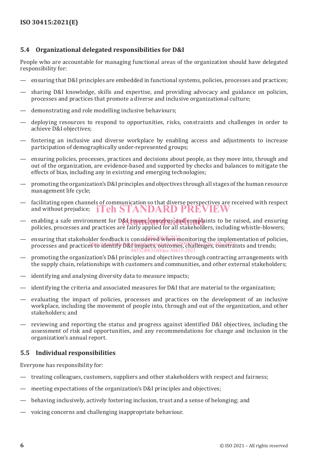# **5.4 Organizational delegated responsibilities for D&I**

People who are accountable for managing functional areas of the organization should have delegated responsibility for:

- ensuring that D&I principles are embedded in functional systems, policies, processes and practices;
- sharing D&I knowledge, skills and expertise, and providing advocacy and guidance on policies, processes and practices that promote a diverse and inclusive organizational culture;
- demonstrating and role modelling inclusive behaviours;
- deploying resources to respond to opportunities, risks, constraints and challenges in order to achieve D&I objectives;
- fostering an inclusive and diverse workplace by enabling access and adjustments to increase participation of demographically under-represented groups;
- ensuring policies, processes, practices and decisions about people, as they move into, through and out of the organization, are evidence-based and supported by checks and balances to mitigate the effects of bias, including any in existing and emerging technologies;
- promoting the organization's D&I principles and objectives through all stages of the human resource management life cycle;
- facilitating open channels of communication so that diverse perspectives are received with respect and without prejudice; **iTeh STANDARD PREVIEW**
- enabling a safe environment for D&I **issues, concerns and compl**aints to be raised, and ensuring noticies processes and practices are fairly applied for all stakeholders including whistle blowers. policies, processes and practices are fairly applied for all stakeholders, including whistle-blowers;
- ensuring that stakeholder feedback is considered when monitoring the implementation of policies, processes and practices to identify D&I impacts, outcomes, challenges, constraints and trends; 94532f883160/iso-30415-2021
- promoting the organization's D&I principles and objectives through contracting arrangements with the supply chain, relationships with customers and communities, and other external stakeholders;
- identifying and analysing diversity data to measure impacts;
- identifying the criteria and associated measures for D&I that are material to the organization;
- evaluating the impact of policies, processes and practices on the development of an inclusive workplace, including the movement of people into, through and out of the organization, and other stakeholders; and
- reviewing and reporting the status and progress against identified D&I objectives, including the assessment of risk and opportunities, and any recommendations for change and inclusion in the organization's annual report.

# **5.5 Individual responsibilities**

Everyone has responsibility for:

- treating colleagues, customers, suppliers and other stakeholders with respect and fairness;
- meeting expectations of the organization's D&I principles and objectives;
- behaving inclusively, actively fostering inclusion, trust and a sense of belonging; and
- voicing concerns and challenging inappropriate behaviour.